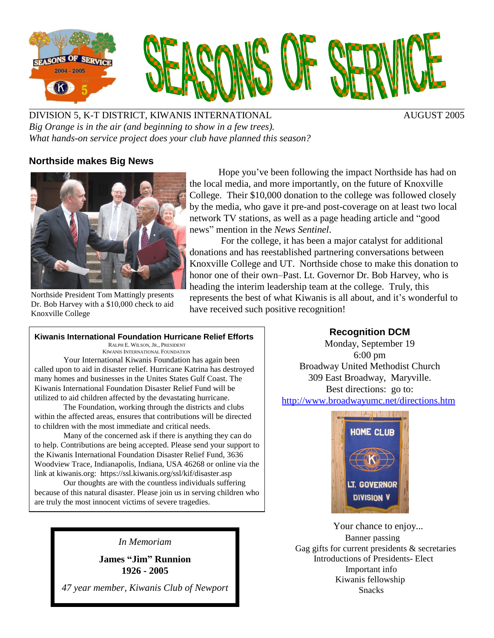

DIVISION 5, K-T DISTRICT, KIWANIS INTERNATIONAL AUGUST 2005 *Big Orange is in the air (and beginning to show in a few trees). What hands-on service project does your club have planned this season?*

# **Northside makes Big News**



Northside President Tom Mattingly presents Dr. Bob Harvey with a \$10,000 check to aid Knoxville College

Hope you've been following the impact Northside has had on the local media, and more importantly, on the future of Knoxville College. Their \$10,000 donation to the college was followed closely by the media, who gave it pre-and post-coverage on at least two local network TV stations, as well as a page heading article and "good" newsî mention in the *News Sentinel*.

For the college, it has been a major catalyst for additional donations and has reestablished partnering conversations between Knoxville College and UT. Northside chose to make this donation to honor one of their own–Past. Lt. Governor Dr. Bob Harvey, who is heading the interim leadership team at the college. Truly, this represents the best of what Kiwanis is all about, and it's wonderful to have received such positive recognition!

#### **Kiwanis International Foundation Hurricane Relief Efforts**

RALPH E. WILSON, JR., PRESIDENT KIWANIS INTERNATIONAL FOUNDATION

Your International Kiwanis Foundation has again been called upon to aid in disaster relief. Hurricane Katrina has destroyed many homes and businesses in the Unites States Gulf Coast. The Kiwanis International Foundation Disaster Relief Fund will be utilized to aid children affected by the devastating hurricane.

The Foundation, working through the districts and clubs within the affected areas, ensures that contributions will be directed to children with the most immediate and critical needs.

Many of the concerned ask if there is anything they can do to help. Contributions are being accepted. Please send your support to the Kiwanis International Foundation Disaster Relief Fund, 3636 Woodview Trace, Indianapolis, Indiana, USA 46268 or online via the link at kiwanis.org: <https://ssl.kiwanis.org/ssl/kif/disaster.asp>

Our thoughts are with the countless individuals suffering because of this natural disaster. Please join us in serving children who are truly the most innocent victims of severe tragedies.

*In Memoriam*

**James ìJimî Runnion 1926 - 2005**

*47 year member, Kiwanis Club of Newport*

# **Recognition DCM**

Monday, September 19 6:00 pm Broadway United Methodist Church 309 East Broadway, Maryville. Best directions: go to: <http://www.broadwayumc.net/directions.htm>



Your chance to enjoy... Banner passing Gag gifts for current presidents & secretaries Introductions of Presidents- Elect Important info Kiwanis fellowship Snacks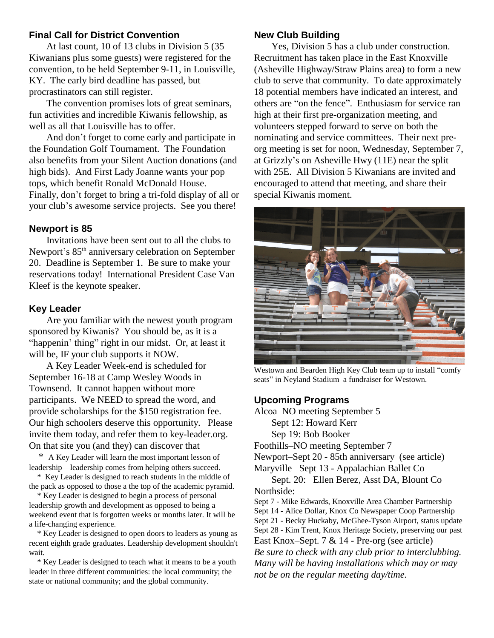# **Final Call for District Convention**

At last count, 10 of 13 clubs in Division 5 (35 Kiwanians plus some guests) were registered for the convention, to be held September 9-11, in Louisville, KY. The early bird deadline has passed, but procrastinators can still register.

The convention promises lots of great seminars, fun activities and incredible Kiwanis fellowship, as well as all that Louisville has to offer.

And don't forget to come early and participate in the Foundation Golf Tournament. The Foundation also benefits from your Silent Auction donations (and high bids). And First Lady Joanne wants your pop tops, which benefit Ronald McDonald House. Finally, don't forget to bring a tri-fold display of all or your club's awesome service projects. See you there!

### **Newport is 85**

Invitations have been sent out to all the clubs to Newport's 85<sup>th</sup> anniversary celebration on September 20. Deadline is September 1. Be sure to make your reservations today! International President Case Van Kleef is the keynote speaker.

### **Key Leader**

Are you familiar with the newest youth program sponsored by Kiwanis? You should be, as it is a "happenin' thing" right in our midst. Or, at least it will be, IF your club supports it NOW.

A Key Leader Week-end is scheduled for September 16-18 at Camp Wesley Woods in Townsend. It cannot happen without more participants. We NEED to spread the word, and provide scholarships for the \$150 registration fee. Our high schoolers deserve this opportunity. Please invite them today, and refer them to key-leader.org. On that site you (and they) can discover that

\* A Key Leader will learn the most important lesson of leadership—leadership comes from helping others succeed.

\* Key Leader is designed to reach students in the middle of the pack as opposed to those a the top of the academic pyramid.

\* Key Leader is designed to begin a process of personal leadership growth and development as opposed to being a weekend event that is forgotten weeks or months later. It will be a life-changing experience.

\* Key Leader is designed to open doors to leaders as young as recent eighth grade graduates. Leadership development shouldn't wait.

\* Key Leader is designed to teach what it means to be a youth leader in three different communities: the local community; the state or national community; and the global community.

# **New Club Building**

Yes, Division 5 has a club under construction. Recruitment has taken place in the East Knoxville (Asheville Highway/Straw Plains area) to form a new club to serve that community. To date approximately 18 potential members have indicated an interest, and others are "on the fence". Enthusiasm for service ran high at their first pre-organization meeting, and volunteers stepped forward to serve on both the nominating and service committees. Their next pre org meeting is set for noon, Wednesday, September 7, at Grizzly's on Asheville Hwy (11E) near the split with 25E. All Division 5 Kiwanians are invited and encouraged to attend that meeting, and share their special Kiwanis moment.



Westown and Bearden High Key Club team up to install "comfy" seats" in Neyland Stadium-a fundraiser for Westown.

# **Upcoming Programs**

Alcoa–NO meeting September 5 Sept 12: Howard Kerr Sep 19: Bob Booker Foothills–NO meeting September 7 Newport–Sept 20 - 85th anniversary (see article) Maryville– Sept 13 - Appalachian Ballet Co Sept. 20: Ellen Berez, Asst DA, Blount Co Northside: Sept 7 - Mike Edwards, Knoxville Area Chamber Partnership Sept 14 - Alice Dollar, Knox Co Newspaper Coop Partnership Sept 21 - Becky Huckaby, McGhee-Tyson Airport, status update

Sept 28 - Kim Trent, Knox Heritage Society, preserving our past East Knox–Sept. 7  $& 14$  - Pre-org (see article) *Be sure to check with any club prior to interclubbing. Many will be having installations which may or may not be on the regular meeting day/time.*